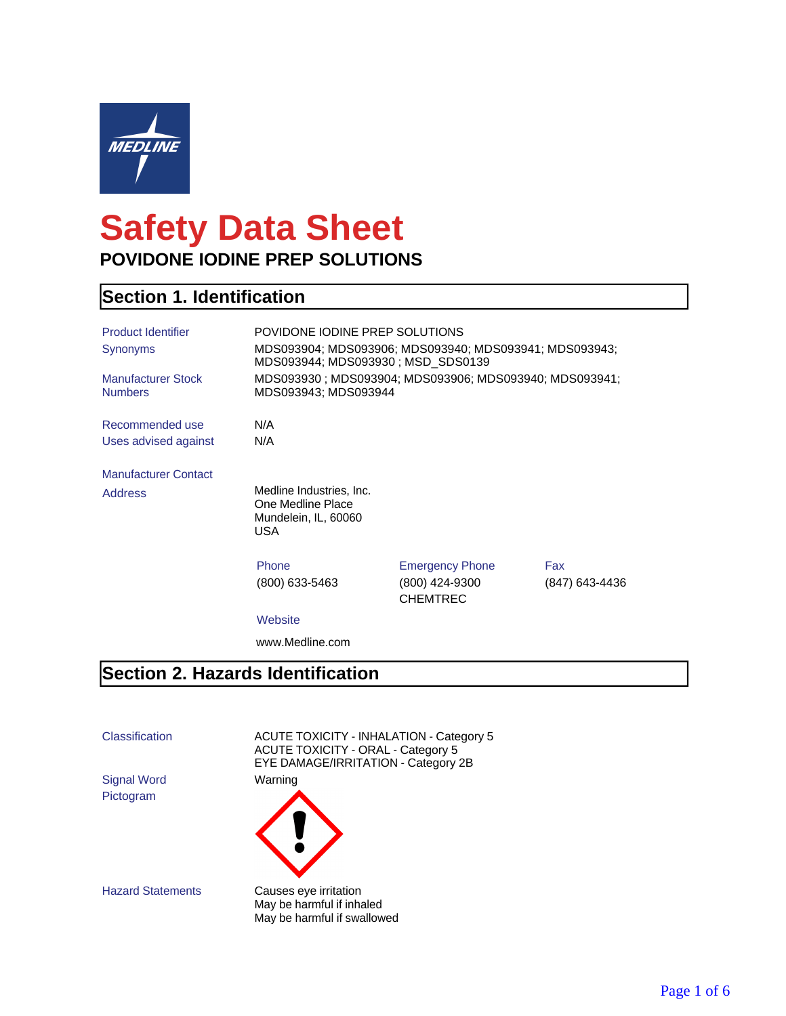

# **Safety Data Sheet POVIDONE IODINE PREP SOLUTIONS**

#### **Section 1. Identification**

| <b>Product Identifier</b>                   | POVIDONE IODINE PREP SOLUTIONS                                                 |                                                                                             |                |  |
|---------------------------------------------|--------------------------------------------------------------------------------|---------------------------------------------------------------------------------------------|----------------|--|
| Synonyms                                    |                                                                                | MDS093904; MDS093906; MDS093940; MDS093941; MDS093943;<br>MDS093944; MDS093930; MSD SDS0139 |                |  |
| <b>Manufacturer Stock</b><br><b>Numbers</b> | MDS093930; MDS093904; MDS093906; MDS093940; MDS093941;<br>MDS093943; MDS093944 |                                                                                             |                |  |
| Recommended use                             | N/A                                                                            |                                                                                             |                |  |
| Uses advised against                        | N/A                                                                            |                                                                                             |                |  |
| <b>Manufacturer Contact</b>                 |                                                                                |                                                                                             |                |  |
| <b>Address</b>                              | Medline Industries, Inc.<br>One Medline Place<br>Mundelein, IL, 60060<br>USA.  |                                                                                             |                |  |
|                                             | Phone                                                                          | <b>Emergency Phone</b>                                                                      | Fax            |  |
|                                             | (800) 633-5463                                                                 | (800) 424-9300<br><b>CHEMTREC</b>                                                           | (847) 643-4436 |  |
|                                             | Website                                                                        |                                                                                             |                |  |
|                                             | www.Medline.com                                                                |                                                                                             |                |  |

#### **Section 2. Hazards Identification**

Pictogram

Classification ACUTE TOXICITY - INHALATION - Category 5 ACUTE TOXICITY - ORAL - Category 5 EYE DAMAGE/IRRITATION - Category 2B Signal Word Warning



Hazard Statements Causes eye irritation May be harmful if inhaled May be harmful if swallowed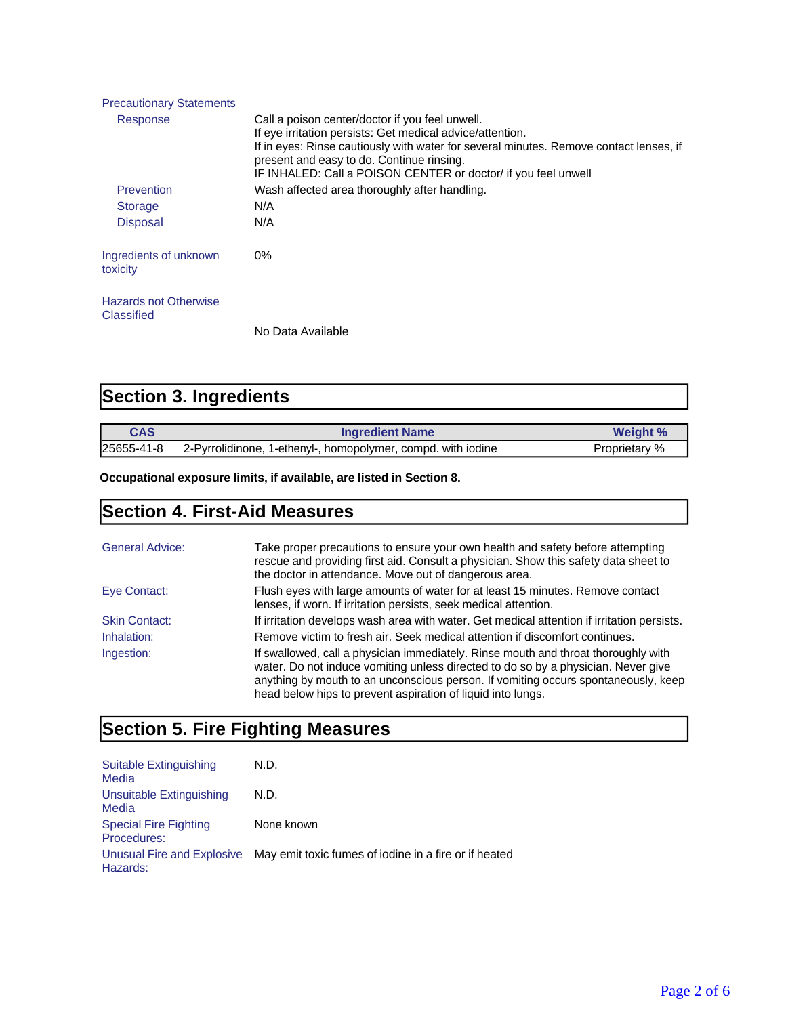| <b>Precautionary Statements</b>                   |                                                                                                                                                                                                                                                                                                                       |
|---------------------------------------------------|-----------------------------------------------------------------------------------------------------------------------------------------------------------------------------------------------------------------------------------------------------------------------------------------------------------------------|
| Response                                          | Call a poison center/doctor if you feel unwell.<br>If eye irritation persists: Get medical advice/attention.<br>If in eyes: Rinse cautiously with water for several minutes. Remove contact lenses, if<br>present and easy to do. Continue rinsing.<br>IF INHALED: Call a POISON CENTER or doctor/ if you feel unwell |
| Prevention                                        | Wash affected area thoroughly after handling.                                                                                                                                                                                                                                                                         |
| <b>Storage</b>                                    | N/A                                                                                                                                                                                                                                                                                                                   |
| <b>Disposal</b>                                   | N/A                                                                                                                                                                                                                                                                                                                   |
| Ingredients of unknown<br>toxicity                | $0\%$                                                                                                                                                                                                                                                                                                                 |
| <b>Hazards not Otherwise</b><br><b>Classified</b> |                                                                                                                                                                                                                                                                                                                       |
|                                                   | No Data Available                                                                                                                                                                                                                                                                                                     |

| <b>Section 3. Ingredients</b> |  |
|-------------------------------|--|
|-------------------------------|--|

| <b>CAS</b> | <b>Ingredient Name</b>                                       | <b>Weight %</b> |
|------------|--------------------------------------------------------------|-----------------|
| 25655-41-8 | 2-Pyrrolidinone, 1-ethenyl-, homopolymer, compd. with iodine | Proprietary %   |

**Occupational exposure limits, if available, are listed in Section 8.**

### **Section 4. First-Aid Measures**

| <b>General Advice:</b> | Take proper precautions to ensure your own health and safety before attempting<br>rescue and providing first aid. Consult a physician. Show this safety data sheet to<br>the doctor in attendance. Move out of dangerous area.                                                                                               |
|------------------------|------------------------------------------------------------------------------------------------------------------------------------------------------------------------------------------------------------------------------------------------------------------------------------------------------------------------------|
| Eye Contact:           | Flush eyes with large amounts of water for at least 15 minutes. Remove contact<br>lenses, if worn. If irritation persists, seek medical attention.                                                                                                                                                                           |
| <b>Skin Contact:</b>   | If irritation develops wash area with water. Get medical attention if irritation persists.                                                                                                                                                                                                                                   |
| Inhalation:            | Remove victim to fresh air. Seek medical attention if discomfort continues.                                                                                                                                                                                                                                                  |
| Ingestion:             | If swallowed, call a physician immediately. Rinse mouth and throat thoroughly with<br>water. Do not induce vomiting unless directed to do so by a physician. Never give<br>anything by mouth to an unconscious person. If vomiting occurs spontaneously, keep<br>head below hips to prevent aspiration of liquid into lungs. |

# **Section 5. Fire Fighting Measures**

| Suitable Extinguishing<br>Media             | N.D.                                                                             |
|---------------------------------------------|----------------------------------------------------------------------------------|
| Unsuitable Extinguishing<br>Media           | N.D.                                                                             |
| <b>Special Fire Fighting</b><br>Procedures: | None known                                                                       |
| Hazards:                                    | Unusual Fire and Explosive May emit toxic fumes of iodine in a fire or if heated |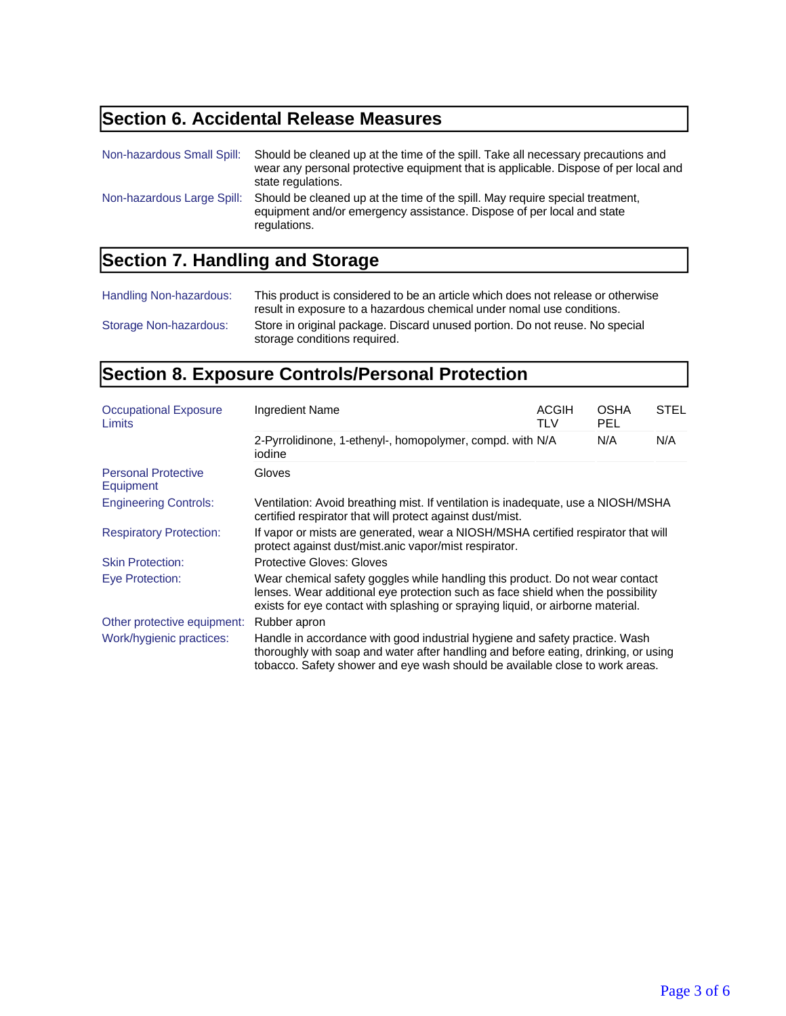# **Section 6. Accidental Release Measures**

| Non-hazardous Small Spill: | Should be cleaned up at the time of the spill. Take all necessary precautions and<br>wear any personal protective equipment that is applicable. Dispose of per local and<br>state regulations. |
|----------------------------|------------------------------------------------------------------------------------------------------------------------------------------------------------------------------------------------|
| Non-hazardous Large Spill: | Should be cleaned up at the time of the spill. May require special treatment,<br>equipment and/or emergency assistance. Dispose of per local and state<br>regulations.                         |

## **Section 7. Handling and Storage**

| Handling Non-hazardous: | This product is considered to be an article which does not release or otherwise<br>result in exposure to a hazardous chemical under nomal use conditions. |
|-------------------------|-----------------------------------------------------------------------------------------------------------------------------------------------------------|
| Storage Non-hazardous:  | Store in original package. Discard unused portion. Do not reuse. No special<br>storage conditions required.                                               |

### **Section 8. Exposure Controls/Personal Protection**

| <b>Occupational Exposure</b><br>Limits  | Ingredient Name                                                                                                                                                                                                                                     | <b>ACGIH</b><br>TLV | <b>OSHA</b><br>PEL | <b>STEL</b> |
|-----------------------------------------|-----------------------------------------------------------------------------------------------------------------------------------------------------------------------------------------------------------------------------------------------------|---------------------|--------------------|-------------|
|                                         | 2-Pyrrolidinone, 1-ethenyl-, homopolymer, compd. with N/A<br>iodine                                                                                                                                                                                 |                     | N/A                | N/A         |
| <b>Personal Protective</b><br>Equipment | <b>Gloves</b>                                                                                                                                                                                                                                       |                     |                    |             |
| <b>Engineering Controls:</b>            | Ventilation: Avoid breathing mist. If ventilation is inadequate, use a NIOSH/MSHA<br>certified respirator that will protect against dust/mist.                                                                                                      |                     |                    |             |
| <b>Respiratory Protection:</b>          | If vapor or mists are generated, wear a NIOSH/MSHA certified respirator that will<br>protect against dust/mist.anic vapor/mist respirator.                                                                                                          |                     |                    |             |
| <b>Skin Protection:</b>                 | <b>Protective Gloves: Gloves</b>                                                                                                                                                                                                                    |                     |                    |             |
| Eye Protection:                         | Wear chemical safety goggles while handling this product. Do not wear contact<br>lenses. Wear additional eye protection such as face shield when the possibility<br>exists for eye contact with splashing or spraying liquid, or airborne material. |                     |                    |             |
| Other protective equipment:             | Rubber apron                                                                                                                                                                                                                                        |                     |                    |             |
| Work/hygienic practices:                | Handle in accordance with good industrial hygiene and safety practice. Wash<br>thoroughly with soap and water after handling and before eating, drinking, or using<br>tobacco. Safety shower and eye wash should be available close to work areas.  |                     |                    |             |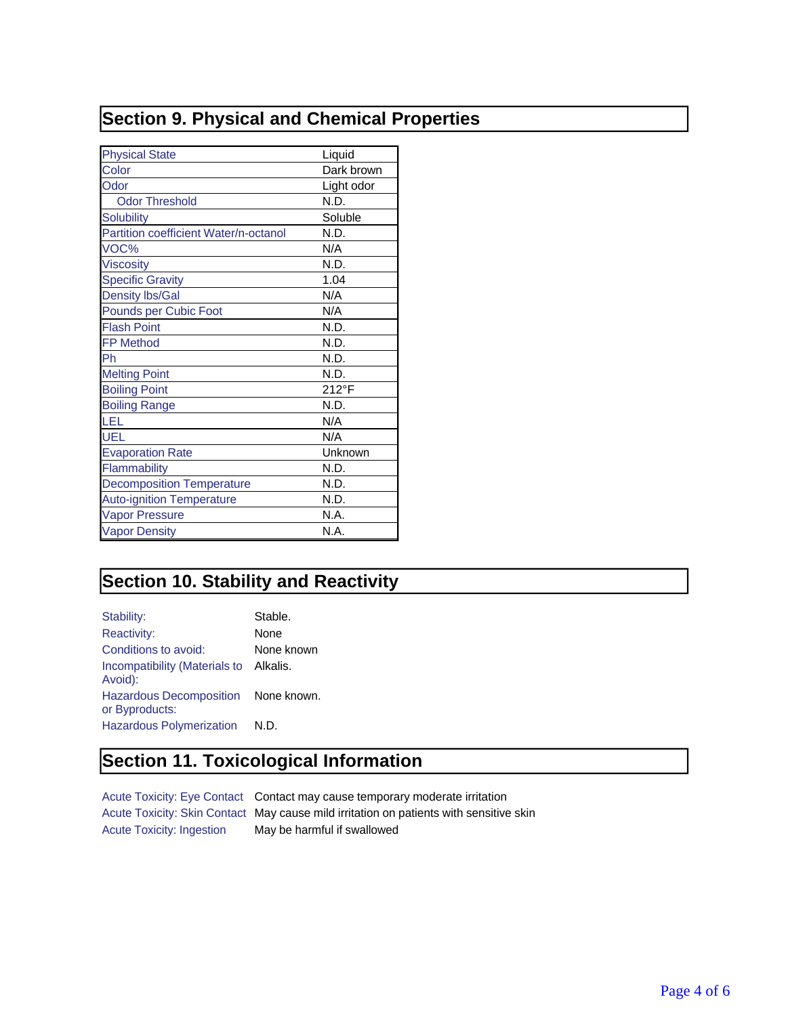### **Section 9. Physical and Chemical Properties**

| <b>Physical State</b>                 | Liquid     |
|---------------------------------------|------------|
| Color                                 | Dark brown |
| Odor                                  | Light odor |
| <b>Odor Threshold</b>                 | N.D.       |
| <b>Solubility</b>                     | Soluble    |
| Partition coefficient Water/n-octanol | N.D.       |
| VOC%                                  | N/A        |
| <b>Viscosity</b>                      | N.D.       |
| <b>Specific Gravity</b>               | 1.04       |
| <b>Density Ibs/Gal</b>                | N/A        |
| <b>Pounds per Cubic Foot</b>          | N/A        |
| <b>Flash Point</b>                    | N.D.       |
| <b>FP Method</b>                      | N.D.       |
| Ph                                    | N.D.       |
| <b>Melting Point</b>                  | N.D.       |
| <b>Boiling Point</b>                  | 212°F      |
| <b>Boiling Range</b>                  | N.D.       |
| LEL                                   | N/A        |
| UEL                                   | N/A        |
| <b>Evaporation Rate</b>               | Unknown    |
| Flammability                          | N.D.       |
| <b>Decomposition Temperature</b>      | N.D.       |
| <b>Auto-ignition Temperature</b>      | N.D.       |
| <b>Vapor Pressure</b>                 | N.A.       |
| <b>Vapor Density</b>                  | N.A.       |

### **Section 10. Stability and Reactivity**

| Stability:                                        | Stable.     |
|---------------------------------------------------|-------------|
| <b>Reactivity:</b>                                | None        |
| Conditions to avoid:                              | None known  |
| Incompatibility (Materials to Alkalis.<br>Avoid): |             |
| <b>Hazardous Decomposition</b><br>or Byproducts:  | None known. |
| <b>Hazardous Polymerization</b>                   | N.D.        |

#### **Section 11. Toxicological Information**

Acute Toxicity: Eye Contact Contact may cause temporary moderate irritation Acute Toxicity: Skin Contact May cause mild irritation on patients with sensitive skin Acute Toxicity: Ingestion May be harmful if swallowed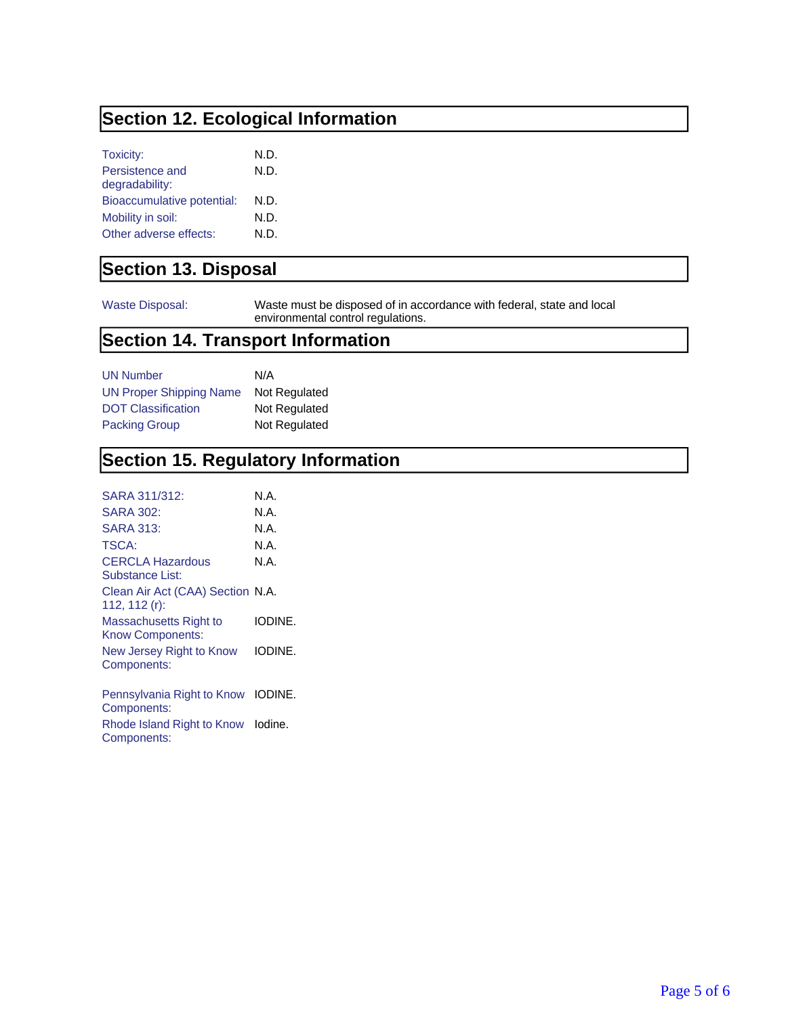### **Section 12. Ecological Information**

| Toxicity:                  | N.D. |
|----------------------------|------|
| Persistence and            | N.D. |
| degradability:             |      |
| Bioaccumulative potential: | N.D. |
| Mobility in soil:          | N.D. |
| Other adverse effects:     | N.D. |

#### **Section 13. Disposal**

Waste Disposal: Waste must be disposed of in accordance with federal, state and local environmental control regulations.

#### **Section 14. Transport Information**

| <b>UN Number</b>               | N/A           |
|--------------------------------|---------------|
| <b>UN Proper Shipping Name</b> | Not Regulated |
| <b>DOT Classification</b>      | Not Regulated |
| <b>Packing Group</b>           | Not Regulated |

#### **Section 15. Regulatory Information**

| SARA 311/312:                                        | N A     |
|------------------------------------------------------|---------|
| SARA 302:                                            | N A     |
| SARA 313:                                            | N.A.    |
| TSCA:                                                | N.A.    |
| <b>CERCLA Hazardous</b><br>Substance List:           | N.A.    |
| Clean Air Act (CAA) Section N.A.<br>112, 112 $(r)$ : |         |
| Massachusetts Right to<br><b>Know Components:</b>    | IODINE. |
| New Jersey Right to Know<br>Components:              | IODINE. |
|                                                      |         |

Pennsylvania Right to Know IODINE. Components: Rhode Island Right to Know Iodine.

Components: